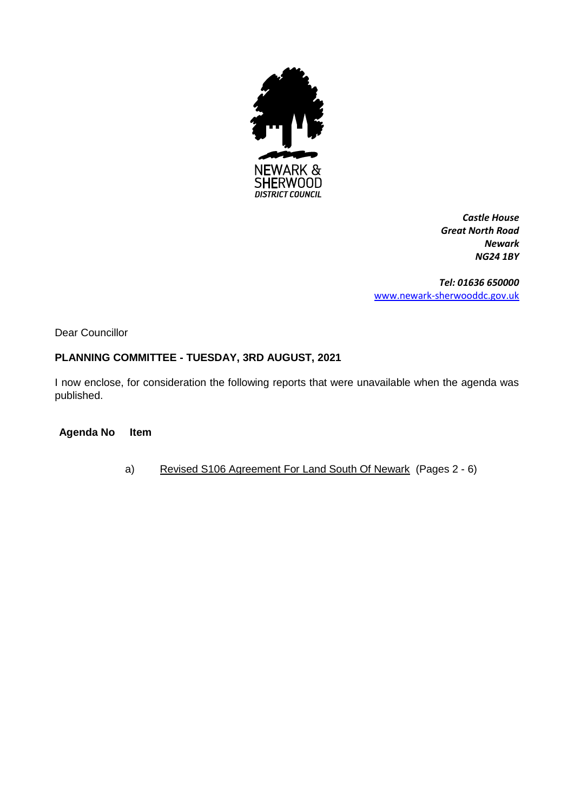

*Castle House Great North Road Newark NG24 1BY*

*Tel: 01636 650000* [www.newark-sherwooddc.gov.uk](http://www.newark-sherwooddc.gov.uk/)

Dear Councillor

# **PLANNING COMMITTEE - TUESDAY, 3RD AUGUST, 2021**

I now enclose, for consideration the following reports that were unavailable when the agenda was published.

**Agenda No Item**

a) Revised S106 Agreement For Land South Of Newark (Pages 2 - 6)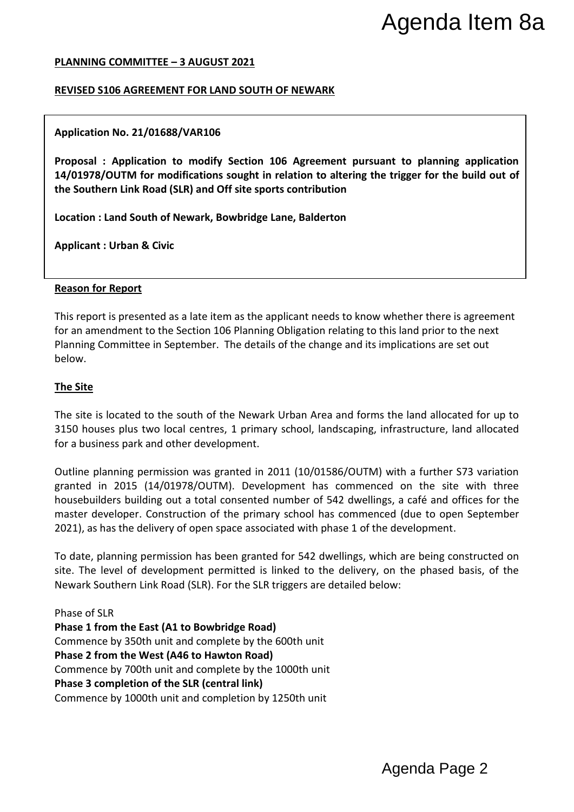#### **PLANNING COMMITTEE – 3 AUGUST 2021**

## **REVISED S106 AGREEMENT FOR LAND SOUTH OF NEWARK**

#### **Application No. 21/01688/VAR106**

**Proposal : Application to modify Section 106 Agreement pursuant to planning application 14/01978/OUTM for modifications sought in relation to altering the trigger for the build out of the Southern Link Road (SLR) and Off site sports contribution**

**Location : Land South of Newark, Bowbridge Lane, Balderton**

**Applicant : Urban & Civic**

#### **Reason for Report**

This report is presented as a late item as the applicant needs to know whether there is agreement for an amendment to the Section 106 Planning Obligation relating to this land prior to the next Planning Committee in September. The details of the change and its implications are set out below.

## **The Site**

The site is located to the south of the Newark Urban Area and forms the land allocated for up to 3150 houses plus two local centres, 1 primary school, landscaping, infrastructure, land allocated for a business park and other development.

Outline planning permission was granted in 2011 (10/01586/OUTM) with a further S73 variation granted in 2015 (14/01978/OUTM). Development has commenced on the site with three housebuilders building out a total consented number of 542 dwellings, a café and offices for the master developer. Construction of the primary school has commenced (due to open September 2021), as has the delivery of open space associated with phase 1 of the development. Agenda Item 8a<br>
Intertigger for the build out of<br>
the trigger for the build out of<br>
Whether there is agreement<br>
Inhis land prior to the next<br>
Inhis land prior to the next<br>
Infrastructure, land allocated<br>
With a further 573

To date, planning permission has been granted for 542 dwellings, which are being constructed on site. The level of development permitted is linked to the delivery, on the phased basis, of the Newark Southern Link Road (SLR). For the SLR triggers are detailed below:

Phase of SLR **Phase 1 from the East (A1 to Bowbridge Road)** Commence by 350th unit and complete by the 600th unit **Phase 2 from the West (A46 to Hawton Road)** Commence by 700th unit and complete by the 1000th unit **Phase 3 completion of the SLR (central link)** Commence by 1000th unit and completion by 1250th unit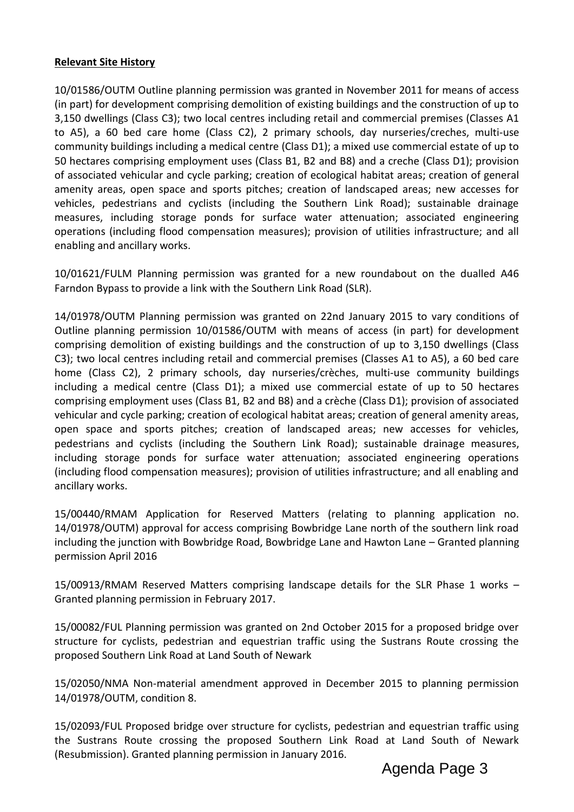# **Relevant Site History**

10/01586/OUTM Outline planning permission was granted in November 2011 for means of access (in part) for development comprising demolition of existing buildings and the construction of up to 3,150 dwellings (Class C3); two local centres including retail and commercial premises (Classes A1 to A5), a 60 bed care home (Class C2), 2 primary schools, day nurseries/creches, multi-use community buildings including a medical centre (Class D1); a mixed use commercial estate of up to 50 hectares comprising employment uses (Class B1, B2 and B8) and a creche (Class D1); provision of associated vehicular and cycle parking; creation of ecological habitat areas; creation of general amenity areas, open space and sports pitches; creation of landscaped areas; new accesses for vehicles, pedestrians and cyclists (including the Southern Link Road); sustainable drainage measures, including storage ponds for surface water attenuation; associated engineering operations (including flood compensation measures); provision of utilities infrastructure; and all enabling and ancillary works.

10/01621/FULM Planning permission was granted for a new roundabout on the dualled A46 Farndon Bypass to provide a link with the Southern Link Road (SLR).

14/01978/OUTM Planning permission was granted on 22nd January 2015 to vary conditions of Outline planning permission 10/01586/OUTM with means of access (in part) for development comprising demolition of existing buildings and the construction of up to 3,150 dwellings (Class C3); two local centres including retail and commercial premises (Classes A1 to A5), a 60 bed care home (Class C2), 2 primary schools, day nurseries/crèches, multi-use community buildings including a medical centre (Class D1); a mixed use commercial estate of up to 50 hectares comprising employment uses (Class B1, B2 and B8) and a crèche (Class D1); provision of associated vehicular and cycle parking; creation of ecological habitat areas; creation of general amenity areas, open space and sports pitches; creation of landscaped areas; new accesses for vehicles, pedestrians and cyclists (including the Southern Link Road); sustainable drainage measures, including storage ponds for surface water attenuation; associated engineering operations (including flood compensation measures); provision of utilities infrastructure; and all enabling and ancillary works.

15/00440/RMAM Application for Reserved Matters (relating to planning application no. 14/01978/OUTM) approval for access comprising Bowbridge Lane north of the southern link road including the junction with Bowbridge Road, Bowbridge Lane and Hawton Lane – Granted planning permission April 2016

15/00913/RMAM Reserved Matters comprising landscape details for the SLR Phase 1 works – Granted planning permission in February 2017.

15/00082/FUL Planning permission was granted on 2nd October 2015 for a proposed bridge over structure for cyclists, pedestrian and equestrian traffic using the Sustrans Route crossing the proposed Southern Link Road at Land South of Newark

15/02050/NMA Non-material amendment approved in December 2015 to planning permission 14/01978/OUTM, condition 8.

15/02093/FUL Proposed bridge over structure for cyclists, pedestrian and equestrian traffic using the Sustrans Route crossing the proposed Southern Link Road at Land South of Newark (Resubmission). Granted planning permission in January 2016.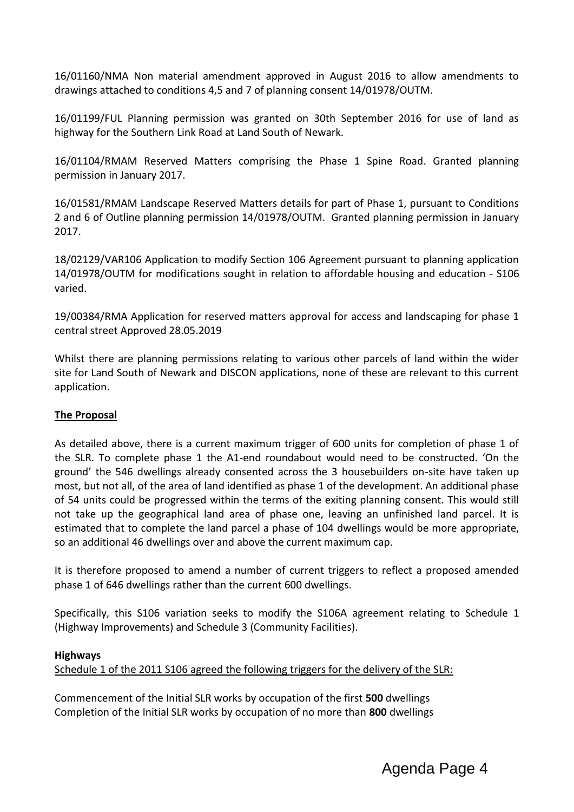16/01160/NMA Non material amendment approved in August 2016 to allow amendments to drawings attached to conditions 4,5 and 7 of planning consent 14/01978/OUTM.

16/01199/FUL Planning permission was granted on 30th September 2016 for use of land as highway for the Southern Link Road at Land South of Newark.

16/01104/RMAM Reserved Matters comprising the Phase 1 Spine Road. Granted planning permission in January 2017.

16/01581/RMAM Landscape Reserved Matters details for part of Phase 1, pursuant to Conditions 2 and 6 of Outline planning permission 14/01978/OUTM. Granted planning permission in January 2017.

18/02129/VAR106 Application to modify Section 106 Agreement pursuant to planning application 14/01978/OUTM for modifications sought in relation to affordable housing and education - S106 varied.

19/00384/RMA Application for reserved matters approval for access and landscaping for phase 1 central street Approved 28.05.2019

Whilst there are planning permissions relating to various other parcels of land within the wider site for Land South of Newark and DISCON applications, none of these are relevant to this current application.

# **The Proposal**

As detailed above, there is a current maximum trigger of 600 units for completion of phase 1 of the SLR. To complete phase 1 the A1-end roundabout would need to be constructed. 'On the ground' the 546 dwellings already consented across the 3 housebuilders on-site have taken up most, but not all, of the area of land identified as phase 1 of the development. An additional phase of 54 units could be progressed within the terms of the exiting planning consent. This would still not take up the geographical land area of phase one, leaving an unfinished land parcel. It is estimated that to complete the land parcel a phase of 104 dwellings would be more appropriate, so an additional 46 dwellings over and above the current maximum cap.

It is therefore proposed to amend a number of current triggers to reflect a proposed amended phase 1 of 646 dwellings rather than the current 600 dwellings.

Specifically, this S106 variation seeks to modify the S106A agreement relating to Schedule 1 (Highway Improvements) and Schedule 3 (Community Facilities).

# **Highways**

Schedule 1 of the 2011 S106 agreed the following triggers for the delivery of the SLR:

Commencement of the Initial SLR works by occupation of the first **500** dwellings Completion of the Initial SLR works by occupation of no more than **800** dwellings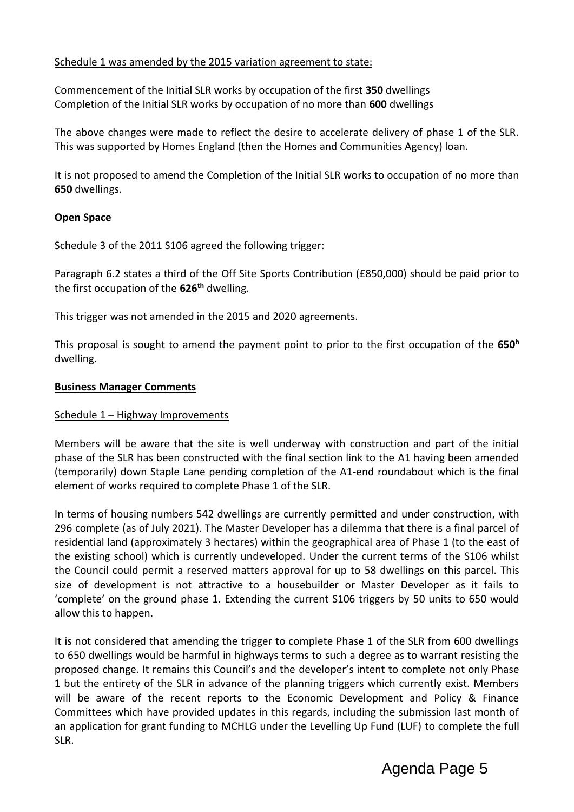# Schedule 1 was amended by the 2015 variation agreement to state:

Commencement of the Initial SLR works by occupation of the first **350** dwellings Completion of the Initial SLR works by occupation of no more than **600** dwellings

The above changes were made to reflect the desire to accelerate delivery of phase 1 of the SLR. This was supported by Homes England (then the Homes and Communities Agency) loan.

It is not proposed to amend the Completion of the Initial SLR works to occupation of no more than **650** dwellings.

## **Open Space**

## Schedule 3 of the 2011 S106 agreed the following trigger:

Paragraph 6.2 states a third of the Off Site Sports Contribution (£850,000) should be paid prior to the first occupation of the **626th** dwelling.

This trigger was not amended in the 2015 and 2020 agreements.

This proposal is sought to amend the payment point to prior to the first occupation of the **650<sup>h</sup>** dwelling.

## **Business Manager Comments**

## Schedule 1 – Highway Improvements

Members will be aware that the site is well underway with construction and part of the initial phase of the SLR has been constructed with the final section link to the A1 having been amended (temporarily) down Staple Lane pending completion of the A1-end roundabout which is the final element of works required to complete Phase 1 of the SLR.

In terms of housing numbers 542 dwellings are currently permitted and under construction, with 296 complete (as of July 2021). The Master Developer has a dilemma that there is a final parcel of residential land (approximately 3 hectares) within the geographical area of Phase 1 (to the east of the existing school) which is currently undeveloped. Under the current terms of the S106 whilst the Council could permit a reserved matters approval for up to 58 dwellings on this parcel. This size of development is not attractive to a housebuilder or Master Developer as it fails to 'complete' on the ground phase 1. Extending the current S106 triggers by 50 units to 650 would allow this to happen.

It is not considered that amending the trigger to complete Phase 1 of the SLR from 600 dwellings to 650 dwellings would be harmful in highways terms to such a degree as to warrant resisting the proposed change. It remains this Council's and the developer's intent to complete not only Phase 1 but the entirety of the SLR in advance of the planning triggers which currently exist. Members will be aware of the recent reports to the Economic Development and Policy & Finance Committees which have provided updates in this regards, including the submission last month of an application for grant funding to MCHLG under the Levelling Up Fund (LUF) to complete the full SLR.